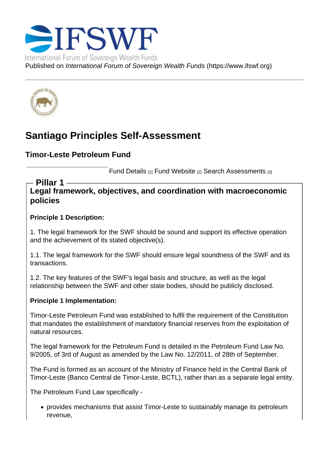# Santiago Principles Self-Assessment

Timor-Leste Petroleum Fund

Fund Details [1] Fund Website [2] Search Assessments [3]

Legal framework, objectives, and coordination with macroeconomic policies Pillar 1

Principle 1 Description:

1. The legal framework for the SWF should be sound and support its effective operation and the achievement of its stated objective(s).

1.1. The legal framework for the SWF should ensure legal soundness of the SWF and its transactions.

1.2. The key features of the SWF's legal basis and structure, as well as the legal relationship between the SWF and other state bodies, should be publicly disclosed.

Principle 1 Implementation:

Timor-Leste Petroleum Fund was established to fulfil the requirement of the Constitution that mandates the establishment of mandatory financial reserves from the exploitation of natural resources.

The legal framework for the Petroleum Fund is detailed in the Petroleum Fund Law No. 9/2005, of 3rd of August as amended by the Law No. 12/2011, of 28th of September.

The Fund is formed as an account of the Ministry of Finance held in the Central Bank of Timor-Leste (Banco Central de Timor-Leste, BCTL), rather than as a separate legal entity.

The Petroleum Fund Law specifically -

provides mechanisms that assist Timor-Leste to sustainably manage its petroleum revenue,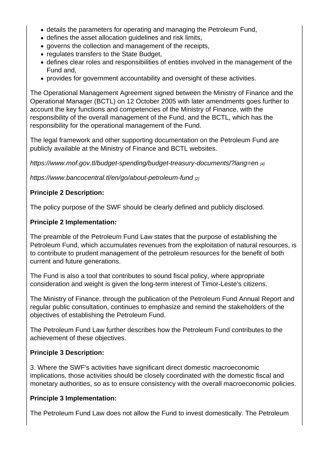- details the parameters for operating and managing the Petroleum Fund,
- defines the asset allocation guidelines and risk limits,
- governs the collection and management of the receipts,
- regulates transfers to the State Budget,
- defines clear roles and responsibilities of entities involved in the management of the Fund and,
- provides for government accountability and oversight of these activities.

The Operational Management Agreement signed between the Ministry of Finance and the Operational Manager (BCTL) on 12 October 2005 with later amendments goes further to account the key functions and competencies of the Ministry of Finance, with the responsibility of the overall management of the Fund, and the BCTL, which has the responsibility for the operational management of the Fund.

The legal framework and other supporting documentation on the Petroleum Fund are publicly available at the Ministry of Finance and BCTL websites.

https://www.mof.gov.tl/budget-spending/budget-treasury-documents/?lang=en [4]

https://www.bancocentral.tl/en/go/about-petroleum-fund [2]

[Principle 2 Description:](https://www.mof.gov.tl/budget-spending/budget-treasury-documents/?lang=en) 

[The policy purpose of the SWF should be clearly defined](https://www.bancocentral.tl/en/go/about-petroleum-fund) and publicly disclosed.

Principle 2 Implementation:

The preamble of the Petroleum Fund Law states that the purpose of establishing the Petroleum Fund, which accumulates revenues from the exploitation of natural resources, is to contribute to prudent management of the petroleum resources for the benefit of both current and future generations.

The Fund is also a tool that contributes to sound fiscal policy, where appropriate consideration and weight is given the long-term interest of Timor-Leste's citizens.

The Ministry of Finance, through the publication of the Petroleum Fund Annual Report and regular public consultation, continues to emphasize and remind the stakeholders of the objectives of establishing the Petroleum Fund.

The Petroleum Fund Law further describes how the Petroleum Fund contributes to the achievement of these objectives.

Principle 3 Description:

3. Where the SWF's activities have significant direct domestic macroeconomic implications, those activities should be closely coordinated with the domestic fiscal and monetary authorities, so as to ensure consistency with the overall macroeconomic policies.

Principle 3 Implementation:

The Petroleum Fund Law does not allow the Fund to invest domestically. The Petroleum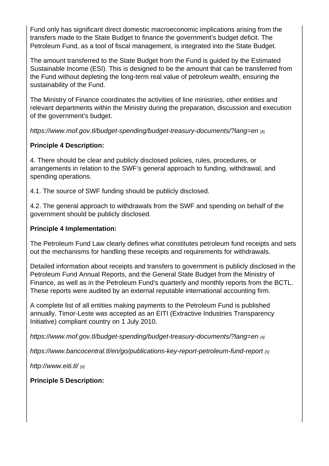Fund only has significant direct domestic macroeconomic implications arising from the transfers made to the State Budget to finance the government's budget deficit. The Petroleum Fund, as a tool of fiscal management, is integrated into the State Budget.

The amount transferred to the State Budget from the Fund is guided by the Estimated Sustainable Income (ESI). This is designed to be the amount that can be transferred from the Fund without depleting the long-term real value of petroleum wealth, ensuring the sustainability of the Fund.

The Ministry of Finance coordinates the activities of line ministries, other entities and relevant departments within the Ministry during the preparation, discussion and execution of the government's budget.

https://www.mof.gov.tl/budget-spending/budget-treasury-documents/?lang=en [4]

Principle 4 Description:

[4. There should be clear and publicly disclosed policies, rules, procedures, or](https://www.mof.gov.tl/budget-spending/budget-treasury-documents/?lang=en)  arrangements in relation to the SWF's general approach to funding, withdrawal, and spending operations.

4.1. The source of SWF funding should be publicly disclosed.

4.2. The general approach to withdrawals from the SWF and spending on behalf of the government should be publicly disclosed.

Principle 4 Implementation:

The Petroleum Fund Law clearly defines what constitutes petroleum fund receipts and sets out the mechanisms for handling these receipts and requirements for withdrawals.

Detailed information about receipts and transfers to government is publicly disclosed in the Petroleum Fund Annual Reports, and the General State Budget from the Ministry of Finance, as well as in the Petroleum Fund's quarterly and monthly reports from the BCTL. These reports were audited by an external reputable international accounting firm.

A complete list of all entities making payments to the Petroleum Fund is published annually. Timor-Leste was accepted as an EITI (Extractive Industries Transparency Initiative) compliant country on 1 July 2010.

https://www.mof.gov.tl/budget-spending/budget-treasury-documents/?lang=en [4]

https://www.bancocentral.tl/en/go/publications-key-report-petroleum-fund-report [5]

[http://www.eiti.tl/](https://www.mof.gov.tl/budget-spending/budget-treasury-documents/?lang=en) [6]

[Principle 5 Description:](https://www.bancocentral.tl/en/go/publications-key-report-petroleum-fund-report)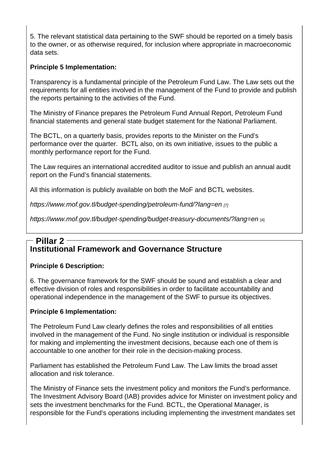5. The relevant statistical data pertaining to the SWF should be reported on a timely basis to the owner, or as otherwise required, for inclusion where appropriate in macroeconomic data sets.

Principle 5 Implementation:

Transparency is a fundamental principle of the Petroleum Fund Law. The Law sets out the requirements for all entities involved in the management of the Fund to provide and publish the reports pertaining to the activities of the Fund.

The Ministry of Finance prepares the Petroleum Fund Annual Report, Petroleum Fund financial statements and general state budget statement for the National Parliament.

The BCTL, on a quarterly basis, provides reports to the Minister on the Fund's performance over the quarter. BCTL also, on its own initiative, issues to the public a monthly performance report for the Fund.

The Law requires an international accredited auditor to issue and publish an annual audit report on the Fund's financial statements.

All this information is publicly available on both the MoF and BCTL websites.

https://www.mof.gov.tl/budget-spending/petroleum-fund/?lang=en [7]

https://www.mof.gov.tl/budget-spending/budget-treasury-documents/?lang=en [4]

#### [Institutional Framework and Governance Structure](https://www.mof.gov.tl/budget-spending/budget-treasury-documents/?lang=en) Pillar 2

Principle 6 Description:

6. The governance framework for the SWF should be sound and establish a clear and effective division of roles and responsibilities in order to facilitate accountability and operational independence in the management of the SWF to pursue its objectives.

Principle 6 Implementation:

The Petroleum Fund Law clearly defines the roles and responsibilities of all entities involved in the management of the Fund. No single institution or individual is responsible for making and implementing the investment decisions, because each one of them is accountable to one another for their role in the decision-making process.

Parliament has established the Petroleum Fund Law. The Law limits the broad asset allocation and risk tolerance.

The Ministry of Finance sets the investment policy and monitors the Fund's performance. The Investment Advisory Board (IAB) provides advice for Minister on investment policy and sets the investment benchmarks for the Fund. BCTL, the Operational Manager, is responsible for the Fund's operations including implementing the investment mandates set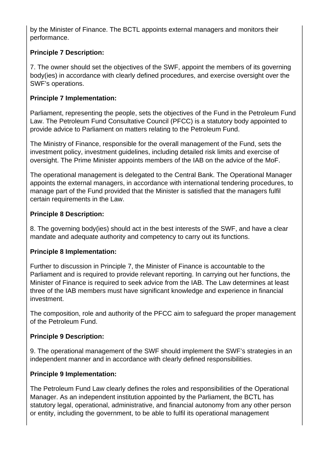by the Minister of Finance. The BCTL appoints external managers and monitors their performance.

# **Principle 7 Description:**

7. The owner should set the objectives of the SWF, appoint the members of its governing body(ies) in accordance with clearly defined procedures, and exercise oversight over the SWF's operations.

## **Principle 7 Implementation:**

Parliament, representing the people, sets the objectives of the Fund in the Petroleum Fund Law. The Petroleum Fund Consultative Council (PFCC) is a statutory body appointed to provide advice to Parliament on matters relating to the Petroleum Fund.

The Ministry of Finance, responsible for the overall management of the Fund, sets the investment policy, investment guidelines, including detailed risk limits and exercise of oversight. The Prime Minister appoints members of the IAB on the advice of the MoF.

The operational management is delegated to the Central Bank. The Operational Manager appoints the external managers, in accordance with international tendering procedures, to manage part of the Fund provided that the Minister is satisfied that the managers fulfil certain requirements in the Law.

## **Principle 8 Description:**

8. The governing body(ies) should act in the best interests of the SWF, and have a clear mandate and adequate authority and competency to carry out its functions.

#### **Principle 8 Implementation:**

Further to discussion in Principle 7, the Minister of Finance is accountable to the Parliament and is required to provide relevant reporting. In carrying out her functions, the Minister of Finance is required to seek advice from the IAB. The Law determines at least three of the IAB members must have significant knowledge and experience in financial investment.

The composition, role and authority of the PFCC aim to safeguard the proper management of the Petroleum Fund.

#### **Principle 9 Description:**

9. The operational management of the SWF should implement the SWF's strategies in an independent manner and in accordance with clearly defined responsibilities.

#### **Principle 9 Implementation:**

The Petroleum Fund Law clearly defines the roles and responsibilities of the Operational Manager. As an independent institution appointed by the Parliament, the BCTL has statutory legal, operational, administrative, and financial autonomy from any other person or entity, including the government, to be able to fulfil its operational management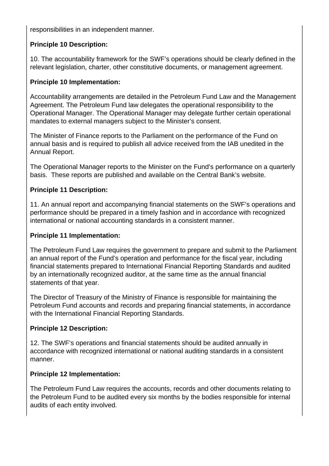responsibilities in an independent manner.

# **Principle 10 Description:**

10. The accountability framework for the SWF's operations should be clearly defined in the relevant legislation, charter, other constitutive documents, or management agreement.

## **Principle 10 Implementation:**

Accountability arrangements are detailed in the Petroleum Fund Law and the Management Agreement. The Petroleum Fund law delegates the operational responsibility to the Operational Manager. The Operational Manager may delegate further certain operational mandates to external managers subject to the Minister's consent.

The Minister of Finance reports to the Parliament on the performance of the Fund on annual basis and is required to publish all advice received from the IAB unedited in the Annual Report.

The Operational Manager reports to the Minister on the Fund's performance on a quarterly basis. These reports are published and available on the Central Bank's website.

## **Principle 11 Description:**

11. An annual report and accompanying financial statements on the SWF's operations and performance should be prepared in a timely fashion and in accordance with recognized international or national accounting standards in a consistent manner.

#### **Principle 11 Implementation:**

The Petroleum Fund Law requires the government to prepare and submit to the Parliament an annual report of the Fund's operation and performance for the fiscal year, including financial statements prepared to International Financial Reporting Standards and audited by an internationally recognized auditor, at the same time as the annual financial statements of that year.

The Director of Treasury of the Ministry of Finance is responsible for maintaining the Petroleum Fund accounts and records and preparing financial statements, in accordance with the International Financial Reporting Standards.

#### **Principle 12 Description:**

12. The SWF's operations and financial statements should be audited annually in accordance with recognized international or national auditing standards in a consistent manner.

#### **Principle 12 Implementation:**

The Petroleum Fund Law requires the accounts, records and other documents relating to the Petroleum Fund to be audited every six months by the bodies responsible for internal audits of each entity involved.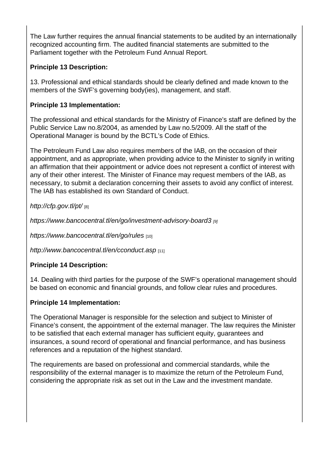The Law further requires the annual financial statements to be audited by an internationally recognized accounting firm. The audited financial statements are submitted to the Parliament together with the Petroleum Fund Annual Report.

Principle 13 Description:

13. Professional and ethical standards should be clearly defined and made known to the members of the SWF's governing body(ies), management, and staff.

Principle 13 Implementation:

The professional and ethical standards for the Ministry of Finance's staff are defined by the Public Service Law no.8/2004, as amended by Law no.5/2009. All the staff of the Operational Manager is bound by the BCTL's Code of Ethics.

The Petroleum Fund Law also requires members of the IAB, on the occasion of their appointment, and as appropriate, when providing advice to the Minister to signify in writing an affirmation that their appointment or advice does not represent a conflict of interest with any of their other interest. The Minister of Finance may request members of the IAB, as necessary, to submit a declaration concerning their assets to avoid any conflict of interest. The IAB has established its own Standard of Conduct.

http://cfp.gov.tl/pt/ [8]

https://www.bancocentral.tl/en/go/investment-advisory-board3 [9]

[https://www.banco](http://cfp.gov.tl/pt/)central.tl/en/go/rules [10]

[http://www.bancocentral.tl/en/cconduct.asp](https://www.bancocentral.tl/en/go/investment-advisory-board3) [11]

[Principle 14 Description:](https://www.bancocentral.tl/en/go/rules) 

[14. Dealing with third parties for the purpos](http://www.bancocentral.tl/en/cconduct.asp)e of the SWF's operational management should be based on economic and financial grounds, and follow clear rules and procedures.

Principle 14 Implementation:

The Operational Manager is responsible for the selection and subject to Minister of Finance's consent, the appointment of the external manager. The law requires the Minister to be satisfied that each external manager has sufficient equity, guarantees and insurances, a sound record of operational and financial performance, and has business references and a reputation of the highest standard.

The requirements are based on professional and commercial standards, while the responsibility of the external manager is to maximize the return of the Petroleum Fund, considering the appropriate risk as set out in the Law and the investment mandate.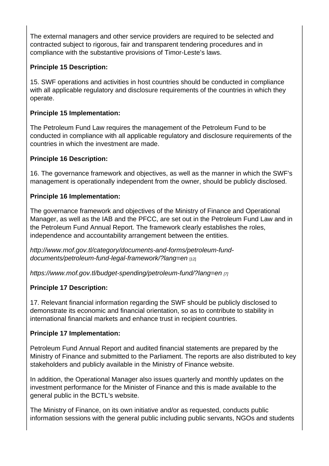The external managers and other service providers are required to be selected and contracted subject to rigorous, fair and transparent tendering procedures and in compliance with the substantive provisions of Timor-Leste's laws.

Principle 15 Description:

15. SWF operations and activities in host countries should be conducted in compliance with all applicable regulatory and disclosure requirements of the countries in which they operate.

Principle 15 Implementation:

The Petroleum Fund Law requires the management of the Petroleum Fund to be conducted in compliance with all applicable regulatory and disclosure requirements of the countries in which the investment are made.

Principle 16 Description:

16. The governance framework and objectives, as well as the manner in which the SWF's management is operationally independent from the owner, should be publicly disclosed.

Principle 16 Implementation:

The governance framework and objectives of the Ministry of Finance and Operational Manager, as well as the IAB and the PFCC, are set out in the Petroleum Fund Law and in the Petroleum Fund Annual Report. The framework clearly establishes the roles, independence and accountability arrangement between the entities.

http://www.mof.gov.tl/category/documents-and-forms/petroleum-funddocuments/petroleum-fund-legal-framework/?lang=en [12]

[https://www.mof.gov.tl/budget-spending/petroleum-fund/?lang=en](http://www.mof.gov.tl/category/documents-and-forms/petroleum-fund-documents/petroleum-fund-legal-framework/?lang=en) [7]

[Principle 17 Description:](http://www.mof.gov.tl/category/documents-and-forms/petroleum-fund-documents/petroleum-fund-legal-framework/?lang=en) 

[17. Relevant financial information regarding the SWF should be pu](https://www.mof.gov.tl/budget-spending/petroleum-fund/?lang=en)blicly disclosed to demonstrate its economic and financial orientation, so as to contribute to stability in international financial markets and enhance trust in recipient countries.

Principle 17 Implementation:

Petroleum Fund Annual Report and audited financial statements are prepared by the Ministry of Finance and submitted to the Parliament. The reports are also distributed to key stakeholders and publicly available in the Ministry of Finance website.

In addition, the Operational Manager also issues quarterly and monthly updates on the investment performance for the Minister of Finance and this is made available to the general public in the BCTL's website.

The Ministry of Finance, on its own initiative and/or as requested, conducts public information sessions with the general public including public servants, NGOs and students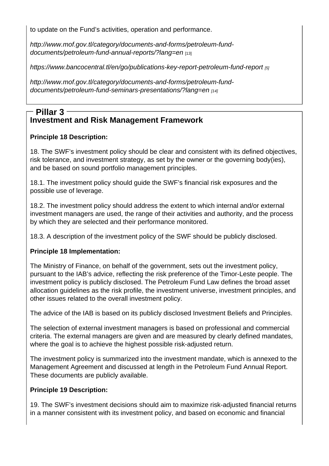to update on the Fund's activities, operation and performance.

http://www.mof.gov.tl/category/documents-and-forms/petroleum-funddocuments/petroleum-fund-annual-reports/?lang=en [13]

[https://www.bancocentral.tl/en/go/publications-key-report-petroleum-fu](http://www.mof.gov.tl/category/documents-and-forms/petroleum-fund-documents/petroleum-fund-annual-reports/?lang=en)nd-report [5]

[http://www.mof.gov.tl/category/documents-and-forms](http://www.mof.gov.tl/category/documents-and-forms/petroleum-fund-documents/petroleum-fund-annual-reports/?lang=en)/petroleum-fund[documents/petroleum-fund-seminars-presentations/?lang=en](https://www.bancocentral.tl/en/go/publications-key-report-petroleum-fund-report) [14]

#### [Investment and Risk Management Framework](http://www.mof.gov.tl/category/documents-and-forms/petroleum-fund-documents/petroleum-fund-seminars-presentations/?lang=en) [Pillar 3](http://www.mof.gov.tl/category/documents-and-forms/petroleum-fund-documents/petroleum-fund-seminars-presentations/?lang=en)

Principle 18 Description:

18. The SWF's investment policy should be clear and consistent with its defined objectives, risk tolerance, and investment strategy, as set by the owner or the governing body(ies), and be based on sound portfolio management principles.

18.1. The investment policy should guide the SWF's financial risk exposures and the possible use of leverage.

18.2. The investment policy should address the extent to which internal and/or external investment managers are used, the range of their activities and authority, and the process by which they are selected and their performance monitored.

18.3. A description of the investment policy of the SWF should be publicly disclosed.

Principle 18 Implementation:

The Ministry of Finance, on behalf of the government, sets out the investment policy, pursuant to the IAB's advice, reflecting the risk preference of the Timor-Leste people. The investment policy is publicly disclosed. The Petroleum Fund Law defines the broad asset allocation guidelines as the risk profile, the investment universe, investment principles, and other issues related to the overall investment policy.

The advice of the IAB is based on its publicly disclosed Investment Beliefs and Principles.

The selection of external investment managers is based on professional and commercial criteria. The external managers are given and are measured by clearly defined mandates, where the goal is to achieve the highest possible risk-adjusted return.

The investment policy is summarized into the investment mandate, which is annexed to the Management Agreement and discussed at length in the Petroleum Fund Annual Report. These documents are publicly available.

Principle 19 Description:

19. The SWF's investment decisions should aim to maximize risk-adjusted financial returns in a manner consistent with its investment policy, and based on economic and financial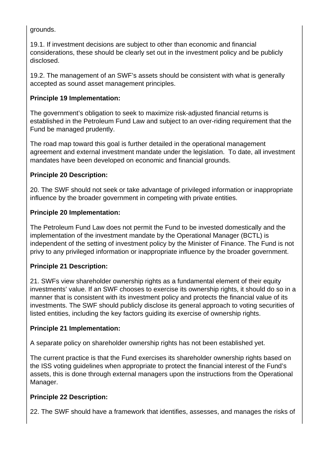grounds.

19.1. If investment decisions are subject to other than economic and financial considerations, these should be clearly set out in the investment policy and be publicly disclosed.

19.2. The management of an SWF's assets should be consistent with what is generally accepted as sound asset management principles.

# **Principle 19 Implementation:**

The government's obligation to seek to maximize risk-adjusted financial returns is established in the Petroleum Fund Law and subject to an over-riding requirement that the Fund be managed prudently.

The road map toward this goal is further detailed in the operational management agreement and external investment mandate under the legislation. To date, all investment mandates have been developed on economic and financial grounds.

## **Principle 20 Description:**

20. The SWF should not seek or take advantage of privileged information or inappropriate influence by the broader government in competing with private entities.

## **Principle 20 Implementation:**

The Petroleum Fund Law does not permit the Fund to be invested domestically and the implementation of the investment mandate by the Operational Manager (BCTL) is independent of the setting of investment policy by the Minister of Finance. The Fund is not privy to any privileged information or inappropriate influence by the broader government.

# **Principle 21 Description:**

21. SWFs view shareholder ownership rights as a fundamental element of their equity investments' value. If an SWF chooses to exercise its ownership rights, it should do so in a manner that is consistent with its investment policy and protects the financial value of its investments. The SWF should publicly disclose its general approach to voting securities of listed entities, including the key factors guiding its exercise of ownership rights.

#### **Principle 21 Implementation:**

A separate policy on shareholder ownership rights has not been established yet.

The current practice is that the Fund exercises its shareholder ownership rights based on the ISS voting guidelines when appropriate to protect the financial interest of the Fund's assets, this is done through external managers upon the instructions from the Operational Manager.

# **Principle 22 Description:**

22. The SWF should have a framework that identifies, assesses, and manages the risks of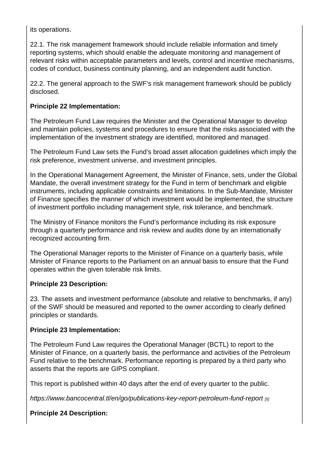its operations.

22.1. The risk management framework should include reliable information and timely reporting systems, which should enable the adequate monitoring and management of relevant risks within acceptable parameters and levels, control and incentive mechanisms, codes of conduct, business continuity planning, and an independent audit function.

22.2. The general approach to the SWF's risk management framework should be publicly disclosed.

Principle 22 Implementation:

The Petroleum Fund Law requires the Minister and the Operational Manager to develop and maintain policies, systems and procedures to ensure that the risks associated with the implementation of the investment strategy are identified, monitored and managed.

The Petroleum Fund Law sets the Fund's broad asset allocation guidelines which imply the risk preference, investment universe, and investment principles.

In the Operational Management Agreement, the Minister of Finance, sets, under the Global Mandate, the overall investment strategy for the Fund in term of benchmark and eligible instruments, including applicable constraints and limitations. In the Sub-Mandate, Minister of Finance specifies the manner of which investment would be implemented, the structure of investment portfolio including management style, risk tolerance, and benchmark.

The Ministry of Finance monitors the Fund's performance including its risk exposure through a quarterly performance and risk review and audits done by an internationally recognized accounting firm.

The Operational Manager reports to the Minister of Finance on a quarterly basis, while Minister of Finance reports to the Parliament on an annual basis to ensure that the Fund operates within the given tolerable risk limits.

Principle 23 Description:

23. The assets and investment performance (absolute and relative to benchmarks, if any) of the SWF should be measured and reported to the owner according to clearly defined principles or standards.

Principle 23 Implementation:

The Petroleum Fund Law requires the Operational Manager (BCTL) to report to the Minister of Finance, on a quarterly basis, the performance and activities of the Petroleum Fund relative to the benchmark. Performance reporting is prepared by a third party who asserts that the reports are GIPS compliant.

This report is published within 40 days after the end of every quarter to the public.

https://www.bancocentral.tl/en/go/publications-key-report-petroleum-fund-report [5]

Principle 24 Description: